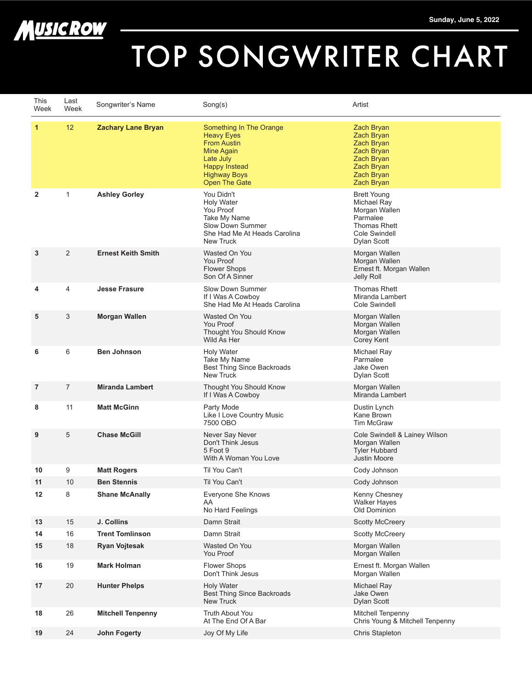



## TOP SONGWRITER CHART

| This<br>Week   | Last<br>Week   | Songwriter's Name         | Song(s)                                                                                                                                                              | Artist                                                                                                                |
|----------------|----------------|---------------------------|----------------------------------------------------------------------------------------------------------------------------------------------------------------------|-----------------------------------------------------------------------------------------------------------------------|
| 1              | 12             | <b>Zachary Lane Bryan</b> | Something In The Orange<br><b>Heavy Eyes</b><br><b>From Austin</b><br><b>Mine Again</b><br>Late July<br><b>Happy Instead</b><br><b>Highway Boys</b><br>Open The Gate | Zach Bryan<br>Zach Bryan<br>Zach Bryan<br>Zach Bryan<br>Zach Bryan<br>Zach Bryan<br>Zach Bryan<br>Zach Bryan          |
| $\overline{2}$ | 1              | <b>Ashley Gorley</b>      | You Didn't<br><b>Holy Water</b><br>You Proof<br>Take My Name<br>Slow Down Summer<br>She Had Me At Heads Carolina<br>New Truck                                        | <b>Brett Young</b><br>Michael Ray<br>Morgan Wallen<br>Parmalee<br><b>Thomas Rhett</b><br>Cole Swindell<br>Dylan Scott |
| 3              | 2              | <b>Ernest Keith Smith</b> | Wasted On You<br>You Proof<br><b>Flower Shops</b><br>Son Of A Sinner                                                                                                 | Morgan Wallen<br>Morgan Wallen<br>Ernest ft. Morgan Wallen<br>Jelly Roll                                              |
| 4              | 4              | <b>Jesse Frasure</b>      | Slow Down Summer<br>If I Was A Cowboy<br>She Had Me At Heads Carolina                                                                                                | <b>Thomas Rhett</b><br>Miranda Lambert<br>Cole Swindell                                                               |
| 5              | 3              | <b>Morgan Wallen</b>      | Wasted On You<br>You Proof<br>Thought You Should Know<br>Wild As Her                                                                                                 | Morgan Wallen<br>Morgan Wallen<br>Morgan Wallen<br>Corey Kent                                                         |
| 6              | 6              | <b>Ben Johnson</b>        | <b>Holy Water</b><br>Take My Name<br>Best Thing Since Backroads<br>New Truck                                                                                         | Michael Ray<br>Parmalee<br>Jake Owen<br>Dylan Scott                                                                   |
| 7              | $\overline{7}$ | <b>Miranda Lambert</b>    | Thought You Should Know<br>If I Was A Cowboy                                                                                                                         | Morgan Wallen<br>Miranda Lambert                                                                                      |
| 8              | 11             | <b>Matt McGinn</b>        | Party Mode<br>Like I Love Country Music<br>7500 OBO                                                                                                                  | Dustin Lynch<br>Kane Brown<br><b>Tim McGraw</b>                                                                       |
| 9              | 5              | <b>Chase McGill</b>       | Never Say Never<br>Don't Think Jesus<br>5 Foot 9<br>With A Woman You Love                                                                                            | Cole Swindell & Lainey Wilson<br>Morgan Wallen<br><b>Tyler Hubbard</b><br><b>Justin Moore</b>                         |
| 10             | 9              | <b>Matt Rogers</b>        | Til You Can't                                                                                                                                                        | Cody Johnson                                                                                                          |
| 11             | 10             | <b>Ben Stennis</b>        | Til You Can't                                                                                                                                                        | Cody Johnson                                                                                                          |
| 12             | 8              | <b>Shane McAnally</b>     | Everyone She Knows<br>AA<br>No Hard Feelings                                                                                                                         | Kenny Chesney<br><b>Walker Hayes</b><br>Old Dominion                                                                  |
| 13             | 15             | J. Collins                | Damn Strait                                                                                                                                                          | <b>Scotty McCreery</b>                                                                                                |
| 14             | 16             | <b>Trent Tomlinson</b>    | Damn Strait                                                                                                                                                          | <b>Scotty McCreery</b>                                                                                                |
| 15             | 18             | <b>Ryan Vojtesak</b>      | Wasted On You<br>You Proof                                                                                                                                           | Morgan Wallen<br>Morgan Wallen                                                                                        |
| 16             | 19             | <b>Mark Holman</b>        | Flower Shops<br>Don't Think Jesus                                                                                                                                    | Ernest ft. Morgan Wallen<br>Morgan Wallen                                                                             |
| 17             | 20             | <b>Hunter Phelps</b>      | <b>Holy Water</b><br><b>Best Thing Since Backroads</b><br>New Truck                                                                                                  | Michael Ray<br>Jake Owen<br>Dylan Scott                                                                               |
| 18             | 26             | <b>Mitchell Tenpenny</b>  | Truth About You<br>At The End Of A Bar                                                                                                                               | Mitchell Tenpenny<br>Chris Young & Mitchell Tenpenny                                                                  |
| 19             | 24             | <b>John Fogerty</b>       | Joy Of My Life                                                                                                                                                       | Chris Stapleton                                                                                                       |